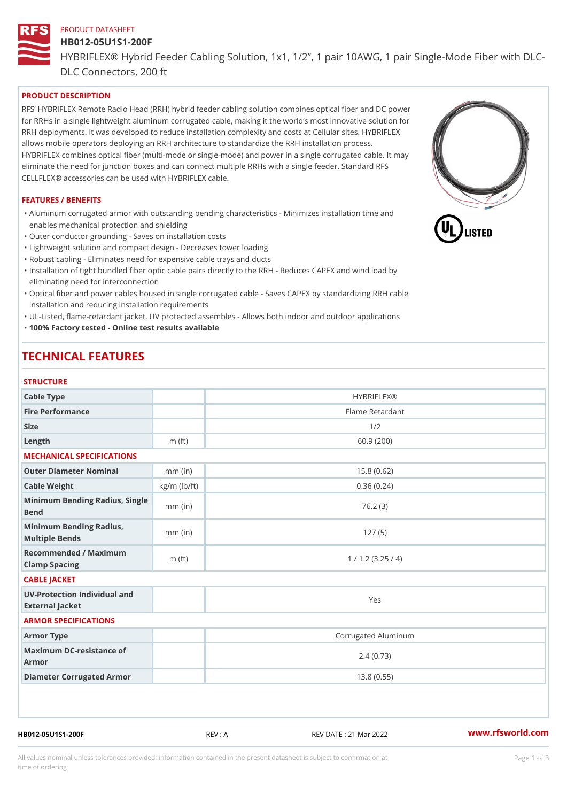# PRODUCT DATASHEET HB012-05U1S1-200F HYBRIFLEX® Hybrid Feeder Cabling Solution, 1x1, 1/2, 1 pair 10AWG, DLC Connectors, 200 ft

## PRODUCT DESCRIPTION

RFS HYBRIFLEX Remote Radio Head (RRH) hybrid feeder cabling solution combines optical fiber and for RRHs in a single lightweight aluminum corrugated cable, making it the world s most innovative s RRH deployments. It was developed to reduce installation complexity and costs at Cellular sites. HY allows mobile operators deploying an RRH architecture to standardize the RRH installation process. HYBRIFLEX combines optical fiber (multi-mode or single-mode) and power in a single corrugated cal eliminate the need for junction boxes and can connect multiple RRHs with a single feeder. Standard CELLFLEX® accessories can be used with HYBRIFLEX cable.

#### FEATURES / BENEFITS

"Aluminum corrugated armor with outstanding bending characteristics - Minimizes installation time a enables mechanical protection and shielding

"Outer conductor grounding - Saves on installation costs

"Lightweight solution and compact design - Decreases tower loading

"Robust cabling - Eliminates need for expensive cable trays and ducts

"Installation of tight bundled fiber optic cable pairs directly to the RRH - Reduces CAPEX and wind eliminating need for interconnection

"Optical fiber and power cables housed in single corrugated cable – Saves CAPEX by standardiz|ng installation and reducing installation requirements

"UL-Listed, flame-retardant jacket, UV protected assembles - Allows both indoor and outdoor applic "100% Factory tested - Online test results available

## TECHNICAL FEATURES

#### **STRUCTURE**

| 0 1 1 \ 0 \ 1 \ 0 1 \ L                           |                    |                     |
|---------------------------------------------------|--------------------|---------------------|
| Cable Type                                        |                    | <b>HYBRIFLEX®</b>   |
| Fire Performance                                  |                    | Flame Retardant     |
| Size                                              |                    | 1/2                 |
| Length                                            | $m$ (ft)           | 60.9(200)           |
| MECHANICAL SPECIFICATIONS                         |                    |                     |
| Outer Diameter Nominal                            | $mm$ (in)          | 15.8(0.62)          |
| Cable Weight                                      | $kg/m$ ( $lb/ft$ ) | 0.36(0.24)          |
| Minimum Bending Radius, Single<br>Bend            |                    | 76.2(3)             |
| Minimum Bending Radius, mm (in)<br>Multiple Bends |                    | 127(5)              |
| Recommended / Maximum<br>Clamp Spacing            | $m$ (ft)           | 1 / 1.2 (3.25 / 4)  |
| CABLE JACKET                                      |                    |                     |
| UV-Protection Individual and<br>External Jacket   |                    | Yes                 |
| ARMOR SPECIFICATIONS                              |                    |                     |
| Armor Type                                        |                    | Corrugated Aluminum |
| Maximum DC-resistance of<br>Armor                 |                    | 2.4(0.73)           |
| Diameter Corrugated Armor                         |                    | 13.8(0.55)          |
|                                                   |                    |                     |

HB012-05U1S1-200F REV : A REV DATE : 21 Mar 2022 [www.](https://www.rfsworld.com)rfsworld.com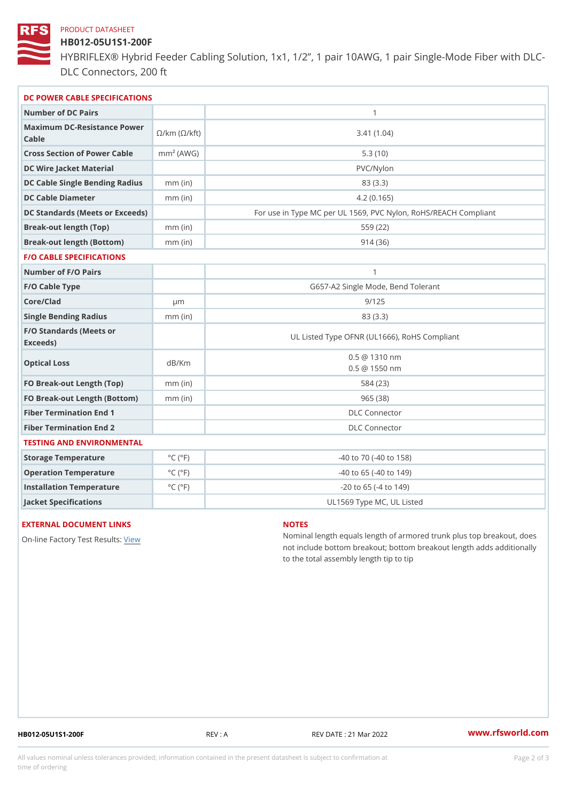#### PRODUCT DATASHEET

## HB012-05U1S1-200F

HYBRIFLEX® Hybrid Feeder Cabling Solution, 1x1, 1/2, 1 pair 10AWG, DLC Connectors, 200 ft

| DC POWER CABLE SPECIFICATIONS                                                                                                   |                             |                                                      |
|---------------------------------------------------------------------------------------------------------------------------------|-----------------------------|------------------------------------------------------|
| Number of DC Pairs                                                                                                              |                             | $\mathbf{1}$                                         |
| Maximum DC-Resistance $\bigotimes_{k=m}^{\infty}$ ( $\bigotimes_{k=m}^{\infty}$ /km ( $\bigotimes_{k=m}^{\infty}$ )<br>$C$ able |                             | 3.41(1.04)                                           |
| Cross Section of Power Cnamb Pe (A W G)                                                                                         |                             | 5.3(10)                                              |
| DC Wire Jacket Material                                                                                                         |                             | PVC/Nylon                                            |
| DC Cable Single Bending Rhandi(uish)                                                                                            |                             | 83 (3.3)                                             |
| DC Cable Diameter                                                                                                               | $mm$ (in)                   | 4.2(0.165)                                           |
| DC Standards (Meets or Exceeds)                                                                                                 |                             | For use in Type MC per UL 1569, PVC Nylon, RoHS/REAC |
| Break-out length (Top)                                                                                                          | $mm$ (in)                   | 559 (22)                                             |
| Break-out length (Bottom) mm (in)                                                                                               |                             | 914(36)                                              |
| <b>F/O CABLE SPECIFICATIONS</b>                                                                                                 |                             |                                                      |
| Number of F/O Pairs                                                                                                             |                             | $\mathbf{1}$                                         |
| F/O Cable Type                                                                                                                  |                             | G657-A2 Single Mode, Bend Tolerant                   |
| Core/Clad                                                                                                                       | $\mu$ m                     | 9/125                                                |
| Single Bending Radius                                                                                                           | $mm$ (in)                   | 83 (3.3)                                             |
| F/O Standards (Meets or<br>Exceeds)                                                                                             |                             | UL Listed Type OFNR (UL1666), RoHS Compliant         |
| Optical Loss                                                                                                                    | dB/Km                       | $0.5 \ @ 1310 \text{ nm}$<br>$0.5 \t@ 1550 nm$       |
| FO Break-out Length (Top)mm (in)                                                                                                |                             | 584 (23)                                             |
| FO Break-out Length (Bottomm) (in)                                                                                              |                             | 965 (38)                                             |
| Fiber Termination End                                                                                                           |                             | <b>DLC</b> Connector                                 |
| Fiber Termination End 2                                                                                                         |                             | <b>DLC</b> Connector                                 |
| TESTING AND ENVIRONMENTAL                                                                                                       |                             |                                                      |
| Storage Temperature                                                                                                             | $^{\circ}$ C ( $^{\circ}$ F | $-40$ to $70$ ( $-40$ to $158$ )                     |
| Operation Temperature                                                                                                           | $^{\circ}$ C ( $^{\circ}$ F | $-40$ to 65 ( $-40$ to 149)                          |
| Installation Temperature                                                                                                        | $^{\circ}$ C ( $^{\circ}$ F | $-20$ to 65 ( $-4$ to 149)                           |
| Jacket Specifications                                                                                                           |                             | UL1569 Type MC, UL Listed                            |

## EXTERNAL DOCUMENT LINKS

On-line Factory Te[s](https://www.rfsworld.com/pictures/userfiles/programs/AAST Latest Version.zip)teRvesults:

#### NOTES

Nominal length equals length of armored trunk plus not include bottom breakout; bottom breakout length to the total assembly length tip to tip

HB012-05U1S1-200F REV : A REV DATE : 21 Mar 2022 [www.](https://www.rfsworld.com)rfsworld.com